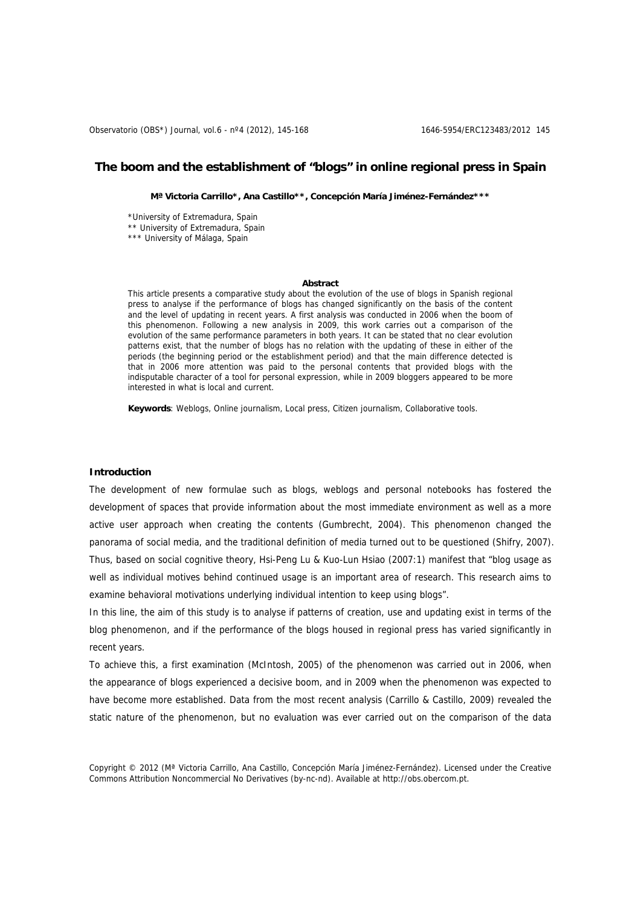# **The boom and the establishment of "blogs" in online regional press in Spain**

**Mª Victoria Carrillo\*, Ana Castillo\*\*, Concepción María Jiménez-Fernández\*\*\*** 

\*University of Extremadura, Spain \*\* University of Extremadura, Spain \*\*\* University of Málaga, Spain

### **Abstract**

This article presents a comparative study about the evolution of the use of blogs in Spanish regional press to analyse if the performance of blogs has changed significantly on the basis of the content and the level of updating in recent years. A first analysis was conducted in 2006 when the boom of this phenomenon. Following a new analysis in 2009, this work carries out a comparison of the evolution of the same performance parameters in both years. It can be stated that no clear evolution patterns exist, that the number of blogs has no relation with the updating of these in either of the periods (the beginning period or the establishment period) and that the main difference detected is that in 2006 more attention was paid to the personal contents that provided blogs with the indisputable character of a tool for personal expression, while in 2009 bloggers appeared to be more interested in what is local and current.

**Keywords**: Weblogs, Online journalism, Local press, Citizen journalism, Collaborative tools.

### **Introduction**

The development of new formulae such as blogs, weblogs and personal notebooks has fostered the development of spaces that provide information about the most immediate environment as well as a more active user approach when creating the contents (Gumbrecht, 2004). This phenomenon changed the panorama of social media, and the traditional definition of media turned out to be questioned (Shifry, 2007). Thus, based on social cognitive theory, Hsi-Peng Lu & Kuo-Lun Hsiao (2007:1) manifest that "blog usage as well as individual motives behind continued usage is an important area of research. This research aims to examine behavioral motivations underlying individual intention to keep using blogs".

In this line, the aim of this study is to analyse if patterns of creation, use and updating exist in terms of the blog phenomenon, and if the performance of the blogs housed in regional press has varied significantly in recent years.

To achieve this, a first examination (McIntosh, 2005) of the phenomenon was carried out in 2006, when the appearance of blogs experienced a decisive boom, and in 2009 when the phenomenon was expected to have become more established. Data from the most recent analysis (Carrillo & Castillo, 2009) revealed the static nature of the phenomenon, but no evaluation was ever carried out on the comparison of the data

Copyright © 2012 (Mª Victoria Carrillo, Ana Castillo, Concepción María Jiménez-Fernández). Licensed under the Creative Commons Attribution Noncommercial No Derivatives (by-nc-nd). Available at http://obs.obercom.pt.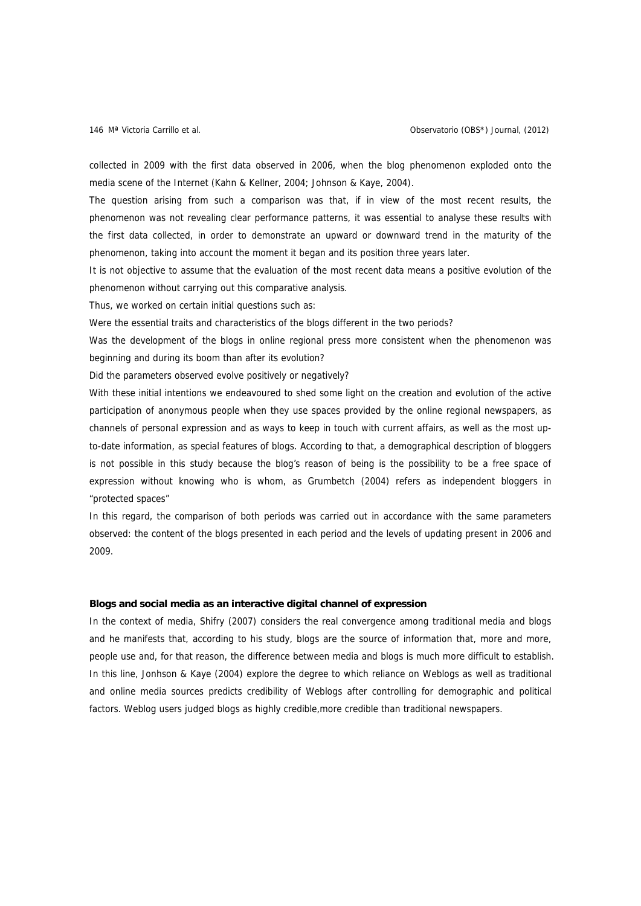collected in 2009 with the first data observed in 2006, when the blog phenomenon exploded onto the media scene of the Internet (Kahn & Kellner, 2004; Johnson & Kaye, 2004).

The question arising from such a comparison was that, if in view of the most recent results, the phenomenon was not revealing clear performance patterns, it was essential to analyse these results with the first data collected, in order to demonstrate an upward or downward trend in the maturity of the phenomenon, taking into account the moment it began and its position three years later.

It is not objective to assume that the evaluation of the most recent data means a positive evolution of the phenomenon without carrying out this comparative analysis.

Thus, we worked on certain initial questions such as:

Were the essential traits and characteristics of the blogs different in the two periods?

Was the development of the blogs in online regional press more consistent when the phenomenon was beginning and during its boom than after its evolution?

Did the parameters observed evolve positively or negatively?

With these initial intentions we endeavoured to shed some light on the creation and evolution of the active participation of anonymous people when they use spaces provided by the online regional newspapers, as channels of personal expression and as ways to keep in touch with current affairs, as well as the most upto-date information, as special features of blogs. According to that, a demographical description of bloggers is not possible in this study because the blog's reason of being is the possibility to be a free space of expression without knowing who is whom, as Grumbetch (2004) refers as independent bloggers in "protected spaces"

In this regard, the comparison of both periods was carried out in accordance with the same parameters observed: the content of the blogs presented in each period and the levels of updating present in 2006 and 2009.

### **Blogs and social media as an interactive digital channel of expression**

In the context of media, Shifry (2007) considers the real convergence among traditional media and blogs and he manifests that, according to his study, blogs are the source of information that, more and more, people use and, for that reason, the difference between media and blogs is much more difficult to establish. In this line, Jonhson & Kaye (2004) explore the degree to which reliance on Weblogs as well as traditional and online media sources predicts credibility of Weblogs after controlling for demographic and political factors. Weblog users judged blogs as highly credible,more credible than traditional newspapers.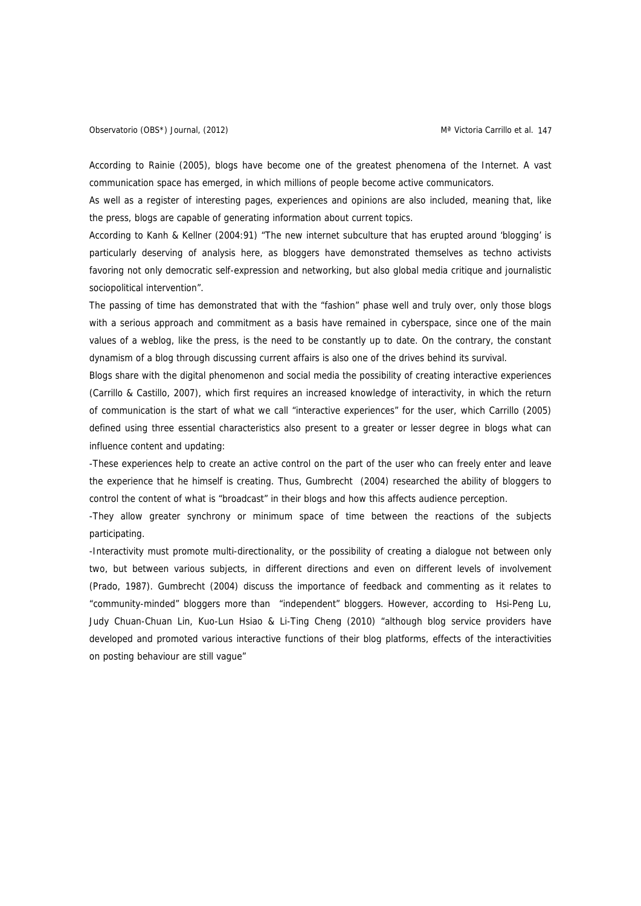According to Rainie (2005), blogs have become one of the greatest phenomena of the Internet. A vast communication space has emerged, in which millions of people become active communicators.

As well as a register of interesting pages, experiences and opinions are also included, meaning that, like the press, blogs are capable of generating information about current topics.

According to Kanh & Kellner (2004:91) "The new internet subculture that has erupted around 'blogging' is particularly deserving of analysis here, as bloggers have demonstrated themselves as techno activists favoring not only democratic self-expression and networking, but also global media critique and journalistic sociopolitical intervention".

The passing of time has demonstrated that with the "fashion" phase well and truly over, only those blogs with a serious approach and commitment as a basis have remained in cyberspace, since one of the main values of a weblog, like the press, is the need to be constantly up to date. On the contrary, the constant dynamism of a blog through discussing current affairs is also one of the drives behind its survival.

Blogs share with the digital phenomenon and social media the possibility of creating interactive experiences (Carrillo & Castillo, 2007), which first requires an increased knowledge of interactivity, in which the return of communication is the start of what we call "interactive experiences" for the user, which Carrillo (2005) defined using three essential characteristics also present to a greater or lesser degree in blogs what can influence content and updating:

-These experiences help to create an active control on the part of the user who can freely enter and leave the experience that he himself is creating. Thus, Gumbrecht (2004) researched the ability of bloggers to control the content of what is "broadcast" in their blogs and how this affects audience perception.

-They allow greater synchrony or minimum space of time between the reactions of the subjects participating.

-Interactivity must promote multi-directionality, or the possibility of creating a dialogue not between only two, but between various subjects, in different directions and even on different levels of involvement (Prado, 1987). Gumbrecht (2004) discuss the importance of feedback and commenting as it relates to "community-minded" bloggers more than "independent" bloggers. However, according to Hsi-Peng Lu, Judy Chuan-Chuan Lin, Kuo-Lun Hsiao & Li-Ting Cheng (2010) "although blog service providers have developed and promoted various interactive functions of their blog platforms, effects of the interactivities on posting behaviour are still vague"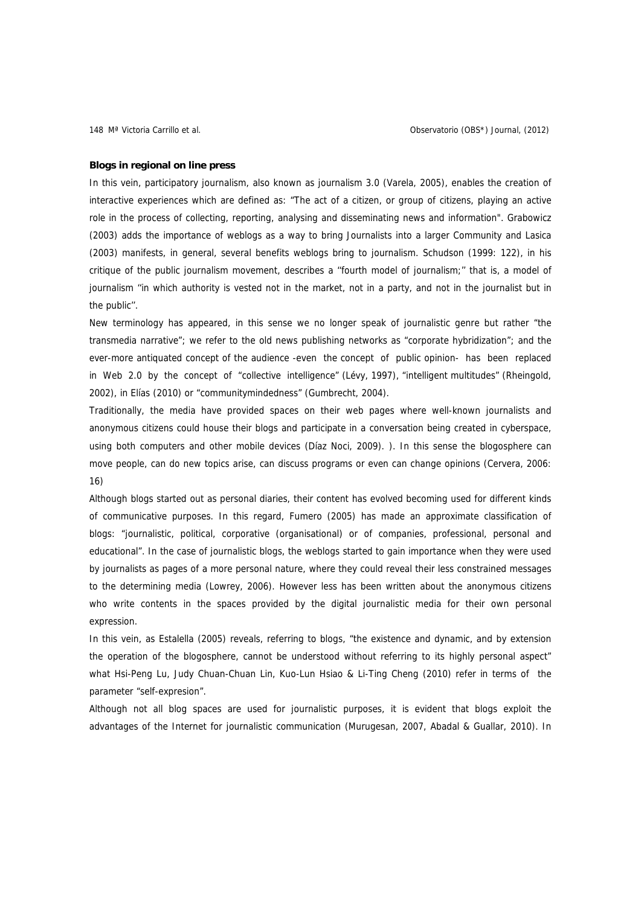### **Blogs in regional on line press**

In this vein, participatory journalism, also known as journalism 3.0 (Varela, 2005), enables the creation of interactive experiences which are defined as: "The act of a citizen, or group of citizens, playing an active role in the process of collecting, reporting, analysing and disseminating news and information". Grabowicz (2003) adds the importance of weblogs as a way to bring Journalists into a larger Community and Lasica (2003) manifests, in general, several benefits weblogs bring to journalism. Schudson (1999: 122), in his critique of the public journalism movement, describes a ''fourth model of journalism;'' that is, a model of journalism ''in which authority is vested not in the market, not in a party, and not in the journalist but in the public''.

New terminology has appeared, in this sense we no longer speak of journalistic genre but rather "the transmedia narrative"; we refer to the old news publishing networks as "corporate hybridization"; and the ever-more antiquated concept of the audience -even the concept of public opinion- has been replaced in Web 2.0 by the concept of "collective intelligence" (Lévy, 1997), "intelligent multitudes" (Rheingold, 2002), in Elías (2010) or "communitymindedness" (Gumbrecht, 2004).

Traditionally, the media have provided spaces on their web pages where well-known journalists and anonymous citizens could house their blogs and participate in a conversation being created in cyberspace, using both computers and other mobile devices (Díaz Noci, 2009). ). In this sense the blogosphere can move people, can do new topics arise, can discuss programs or even can change opinions (Cervera, 2006: 16)

Although blogs started out as personal diaries, their content has evolved becoming used for different kinds of communicative purposes. In this regard, Fumero (2005) has made an approximate classification of blogs: "journalistic, political, corporative (organisational) or of companies, professional, personal and educational". In the case of journalistic blogs, the weblogs started to gain importance when they were used by journalists as pages of a more personal nature, where they could reveal their less constrained messages to the determining media (Lowrey, 2006). However less has been written about the anonymous citizens who write contents in the spaces provided by the digital journalistic media for their own personal expression.

In this vein, as Estalella (2005) reveals, referring to blogs, "the existence and dynamic, and by extension the operation of the blogosphere, cannot be understood without referring to its highly personal aspect" what Hsi-Peng Lu, Judy Chuan-Chuan Lin, Kuo-Lun Hsiao & Li-Ting Cheng (2010) refer in terms of the parameter "self-expresion".

Although not all blog spaces are used for journalistic purposes, it is evident that blogs exploit the advantages of the Internet for journalistic communication (Murugesan, 2007, Abadal & Guallar, 2010). In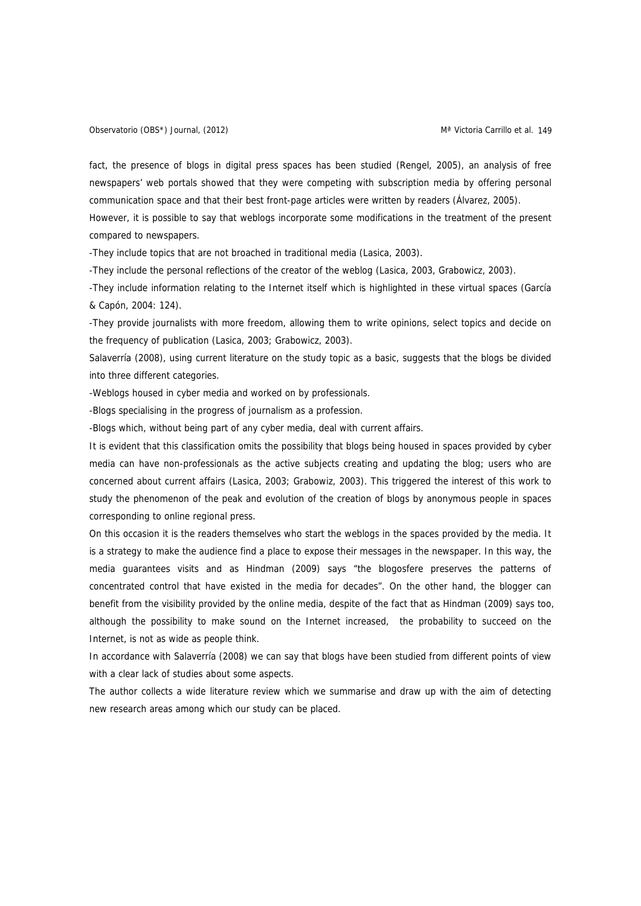fact, the presence of blogs in digital press spaces has been studied (Rengel, 2005), an analysis of free newspapers' web portals showed that they were competing with subscription media by offering personal communication space and that their best front-page articles were written by readers (Álvarez, 2005).

However, it is possible to say that weblogs incorporate some modifications in the treatment of the present compared to newspapers.

-They include topics that are not broached in traditional media (Lasica, 2003).

-They include the personal reflections of the creator of the weblog (Lasica, 2003, Grabowicz, 2003).

-They include information relating to the Internet itself which is highlighted in these virtual spaces (García & Capón, 2004: 124).

-They provide journalists with more freedom, allowing them to write opinions, select topics and decide on the frequency of publication (Lasica, 2003; Grabowicz, 2003).

Salaverría (2008), using current literature on the study topic as a basic, suggests that the blogs be divided into three different categories.

-Weblogs housed in cyber media and worked on by professionals.

-Blogs specialising in the progress of journalism as a profession.

-Blogs which, without being part of any cyber media, deal with current affairs.

It is evident that this classification omits the possibility that blogs being housed in spaces provided by cyber media can have non-professionals as the active subjects creating and updating the blog; users who are concerned about current affairs (Lasica, 2003; Grabowiz, 2003). This triggered the interest of this work to study the phenomenon of the peak and evolution of the creation of blogs by anonymous people in spaces corresponding to online regional press.

On this occasion it is the readers themselves who start the weblogs in the spaces provided by the media. It is a strategy to make the audience find a place to expose their messages in the newspaper. In this way, the media guarantees visits and as Hindman (2009) says "the blogosfere preserves the patterns of concentrated control that have existed in the media for decades". On the other hand, the blogger can benefit from the visibility provided by the online media, despite of the fact that as Hindman (2009) says too, although the possibility to make sound on the Internet increased, the probability to succeed on the Internet, is not as wide as people think.

In accordance with Salaverría (2008) we can say that blogs have been studied from different points of view with a clear lack of studies about some aspects.

The author collects a wide literature review which we summarise and draw up with the aim of detecting new research areas among which our study can be placed.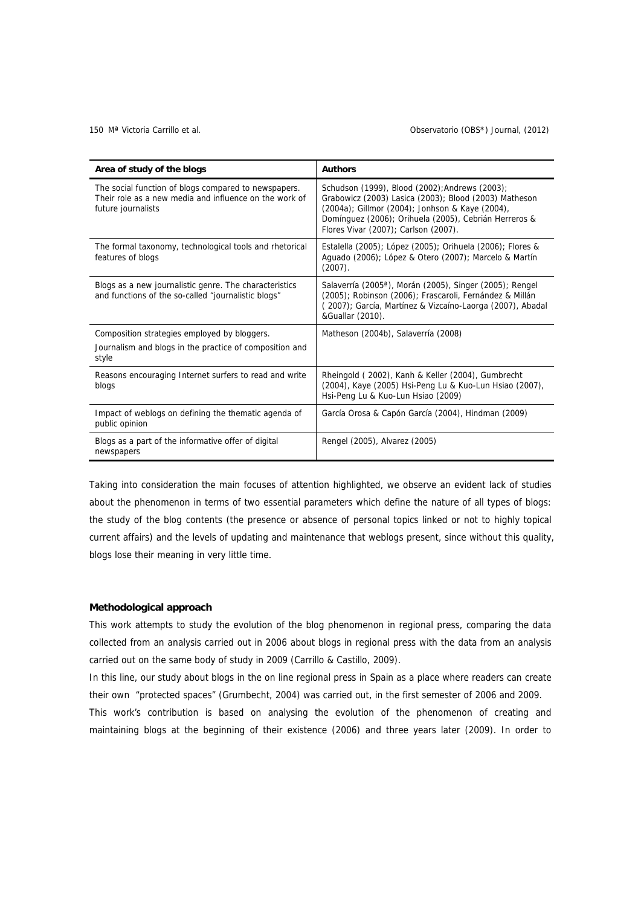### 150 Mª Victoria Carrillo et al. Observatorio (OBS\*) Journal, (2012)

| Area of study of the blogs                                                                                                           | <b>Authors</b>                                                                                                                                                                                                                                              |
|--------------------------------------------------------------------------------------------------------------------------------------|-------------------------------------------------------------------------------------------------------------------------------------------------------------------------------------------------------------------------------------------------------------|
| The social function of blogs compared to newspapers.<br>Their role as a new media and influence on the work of<br>future journalists | Schudson (1999), Blood (2002); Andrews (2003);<br>Grabowicz (2003) Lasica (2003); Blood (2003) Matheson<br>(2004a); Gillmor (2004); Jonhson & Kaye (2004),<br>Domínguez (2006); Orihuela (2005), Cebrián Herreros &<br>Flores Vivar (2007); Carlson (2007). |
| The formal taxonomy, technological tools and rhetorical<br>features of blogs                                                         | Estalella (2005); López (2005); Orihuela (2006); Flores &<br>Aguado (2006); López & Otero (2007); Marcelo & Martín<br>$(2007)$ .                                                                                                                            |
| Blogs as a new journalistic genre. The characteristics<br>and functions of the so-called "journalistic blogs"                        | Salaverría (2005 <sup>a</sup> ), Morán (2005), Singer (2005); Rengel<br>(2005); Robinson (2006); Frascaroli, Fernández & Millán<br>(2007); García, Martínez & Vizcaíno-Laorga (2007), Abadal<br>&Guallar (2010).                                            |
| Composition strategies employed by bloggers.                                                                                         | Matheson (2004b), Salaverría (2008)                                                                                                                                                                                                                         |
| Journalism and blogs in the practice of composition and<br>style                                                                     |                                                                                                                                                                                                                                                             |
| Reasons encouraging Internet surfers to read and write<br>blogs                                                                      | Rheingold (2002), Kanh & Keller (2004), Gumbrecht<br>(2004), Kaye (2005) Hsi-Peng Lu & Kuo-Lun Hsiao (2007),<br>Hsi-Peng Lu & Kuo-Lun Hsiao (2009)                                                                                                          |
| Impact of weblogs on defining the thematic agenda of<br>public opinion                                                               | García Orosa & Capón García (2004), Hindman (2009)                                                                                                                                                                                                          |
| Blogs as a part of the informative offer of digital<br>newspapers                                                                    | Rengel (2005), Alvarez (2005)                                                                                                                                                                                                                               |

Taking into consideration the main focuses of attention highlighted, we observe an evident lack of studies about the phenomenon in terms of two essential parameters which define the nature of all types of blogs: the study of the blog contents (the presence or absence of personal topics linked or not to highly topical current affairs) and the levels of updating and maintenance that weblogs present, since without this quality, blogs lose their meaning in very little time.

# **Methodological approach**

This work attempts to study the evolution of the blog phenomenon in regional press, comparing the data collected from an analysis carried out in 2006 about blogs in regional press with the data from an analysis carried out on the same body of study in 2009 (Carrillo & Castillo, 2009).

In this line, our study about blogs in the on line regional press in Spain as a place where readers can create their own "protected spaces" (Grumbecht, 2004) was carried out, in the first semester of 2006 and 2009.

This work's contribution is based on analysing the evolution of the phenomenon of creating and maintaining blogs at the beginning of their existence (2006) and three years later (2009). In order to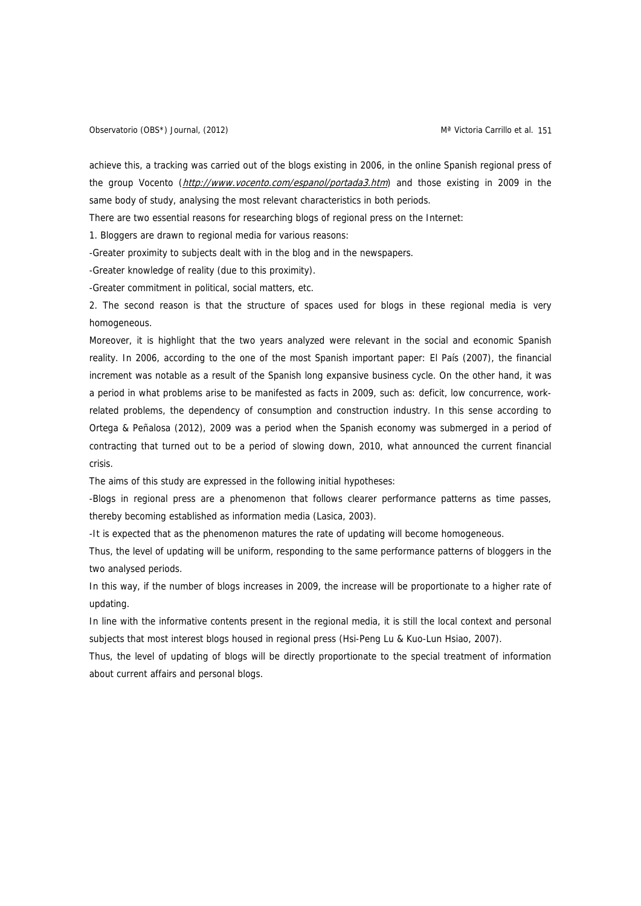achieve this, a tracking was carried out of the blogs existing in 2006, in the online Spanish regional press of the group Vocento (<http://www.vocento.com/espanol/portada3.htm>) and those existing in 2009 in the same body of study, analysing the most relevant characteristics in both periods.

There are two essential reasons for researching blogs of regional press on the Internet:

1. Bloggers are drawn to regional media for various reasons:

-Greater proximity to subjects dealt with in the blog and in the newspapers.

-Greater knowledge of reality (due to this proximity).

-Greater commitment in political, social matters, etc.

2. The second reason is that the structure of spaces used for blogs in these regional media is very homogeneous.

Moreover, it is highlight that the two years analyzed were relevant in the social and economic Spanish reality. In 2006, according to the one of the most Spanish important paper: El País (2007), the financial increment was notable as a result of the Spanish long expansive business cycle. On the other hand, it was a period in what problems arise to be manifested as facts in 2009, such as: deficit, low concurrence, workrelated problems, the dependency of consumption and construction industry. In this sense according to Ortega & Peñalosa (2012), 2009 was a period when the Spanish economy was submerged in a period of contracting that turned out to be a period of slowing down, 2010, what announced the current financial crisis.

The aims of this study are expressed in the following initial hypotheses:

-Blogs in regional press are a phenomenon that follows clearer performance patterns as time passes, thereby becoming established as information media (Lasica, 2003).

-It is expected that as the phenomenon matures the rate of updating will become homogeneous.

Thus, the level of updating will be uniform, responding to the same performance patterns of bloggers in the two analysed periods.

In this way, if the number of blogs increases in 2009, the increase will be proportionate to a higher rate of updating.

In line with the informative contents present in the regional media, it is still the local context and personal subjects that most interest blogs housed in regional press (Hsi-Peng Lu & Kuo-Lun Hsiao, 2007).

Thus, the level of updating of blogs will be directly proportionate to the special treatment of information about current affairs and personal blogs.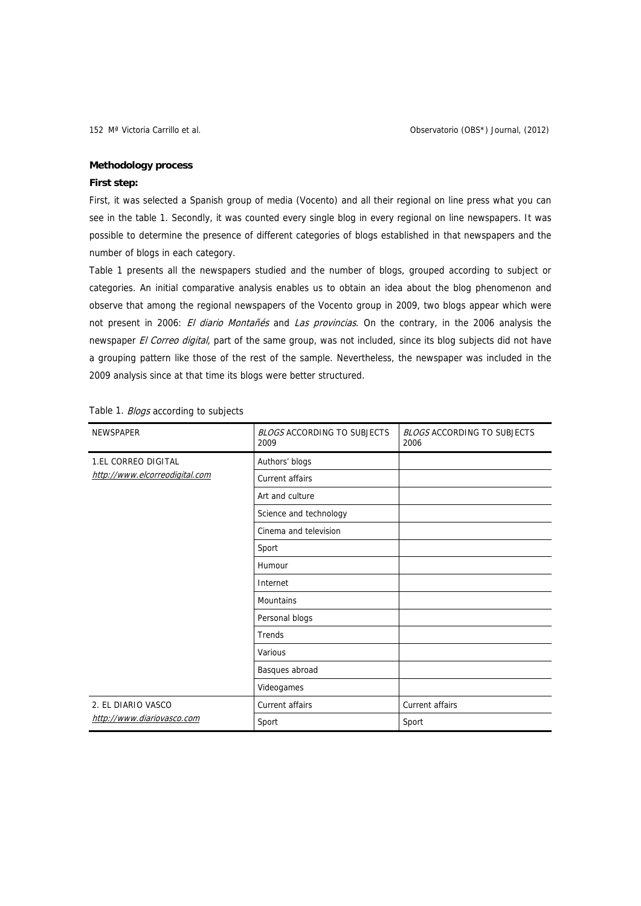## **Methodology process**

## **First step:**

First, it was selected a Spanish group of media (Vocento) and all their regional on line press what you can see in the table 1. Secondly, it was counted every single blog in every regional on line newspapers. It was possible to determine the presence of different categories of blogs established in that newspapers and the number of blogs in each category.

Table 1 presents all the newspapers studied and the number of blogs, grouped according to subject or categories. An initial comparative analysis enables us to obtain an idea about the blog phenomenon and observe that among the regional newspapers of the Vocento group in 2009, two blogs appear which were not present in 2006: El diario Montañés and Las provincias. On the contrary, in the 2006 analysis the newspaper El Correo digital, part of the same group, was not included, since its blog subjects did not have a grouping pattern like those of the rest of the sample. Nevertheless, the newspaper was included in the 2009 analysis since at that time its blogs were better structured.

| <b>NEWSPAPER</b>               | <b>BLOGS ACCORDING TO SUBJECTS</b><br>2009 | <b>BLOGS ACCORDING TO SUBJECTS</b><br>2006 |
|--------------------------------|--------------------------------------------|--------------------------------------------|
| <b>1.EL CORREO DIGITAL</b>     | Authors' blogs                             |                                            |
| http://www.elcorreodigital.com | Current affairs                            |                                            |
|                                | Art and culture                            |                                            |
|                                | Science and technology                     |                                            |
|                                | Cinema and television                      |                                            |
|                                | Sport                                      |                                            |
|                                | Humour                                     |                                            |
|                                | Internet                                   |                                            |
|                                | <b>Mountains</b>                           |                                            |
|                                | Personal blogs                             |                                            |
|                                | Trends                                     |                                            |
|                                | Various                                    |                                            |
|                                | Basques abroad                             |                                            |
|                                | Videogames                                 |                                            |
| 2. EL DIARIO VASCO             | Current affairs                            | Current affairs                            |
| http://www.diariovasco.com     | Sport                                      | Sport                                      |

Table 1. Blogs according to subjects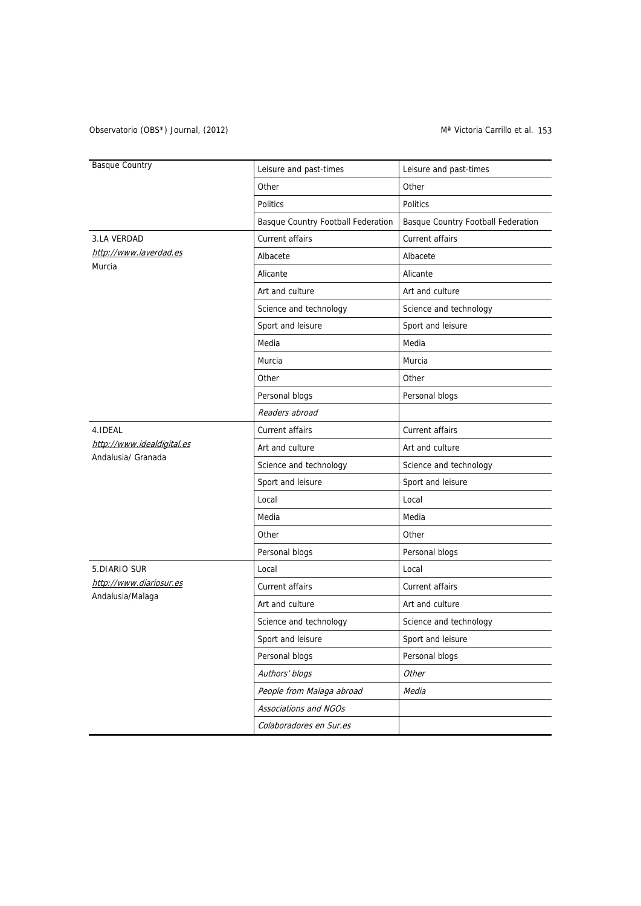## Observatorio (OBS\*) Journal, (2012) Conservatorio (OBS\*) Journal, (2012)

| <b>Basque Country</b>                            | Leisure and past-times             | Leisure and past-times             |  |  |
|--------------------------------------------------|------------------------------------|------------------------------------|--|--|
|                                                  | Other                              | Other                              |  |  |
|                                                  | <b>Politics</b>                    | <b>Politics</b>                    |  |  |
|                                                  | Basque Country Football Federation | Basque Country Football Federation |  |  |
| 3.LA VERDAD                                      | Current affairs                    | Current affairs                    |  |  |
| http://www.laverdad.es                           | Albacete                           | Albacete                           |  |  |
| Murcia                                           | Alicante                           | Alicante                           |  |  |
|                                                  | Art and culture                    | Art and culture                    |  |  |
|                                                  | Science and technology             | Science and technology             |  |  |
|                                                  | Sport and leisure                  | Sport and leisure                  |  |  |
|                                                  | Media                              | Media                              |  |  |
|                                                  | Murcia                             | Murcia                             |  |  |
|                                                  | Other                              | Other                              |  |  |
|                                                  | Personal blogs                     | Personal blogs                     |  |  |
|                                                  | Readers abroad                     |                                    |  |  |
| 4.IDEAL                                          | Current affairs                    | Current affairs                    |  |  |
| http://www.idealdigital.es<br>Andalusia/ Granada | Art and culture                    | Art and culture                    |  |  |
|                                                  | Science and technology             | Science and technology             |  |  |
|                                                  | Sport and leisure                  | Sport and leisure                  |  |  |
|                                                  | Local                              | Local                              |  |  |
|                                                  | Media                              | Media                              |  |  |
|                                                  | Other                              | Other                              |  |  |
|                                                  | Personal blogs                     | Personal blogs                     |  |  |
| 5.DIARIO SUR                                     | Local                              | Local                              |  |  |
| http://www.diariosur.es                          | Current affairs                    | Current affairs                    |  |  |
| Andalusia/Malaga                                 | Art and culture                    | Art and culture                    |  |  |
|                                                  | Science and technology             | Science and technology             |  |  |
|                                                  | Sport and leisure                  | Sport and leisure                  |  |  |
|                                                  | Personal blogs                     | Personal blogs                     |  |  |
|                                                  | Authors' blogs                     | Other                              |  |  |
|                                                  | People from Malaga abroad          | Media                              |  |  |
|                                                  | Associations and NGOs              |                                    |  |  |
|                                                  | Colaboradores en Sur.es            |                                    |  |  |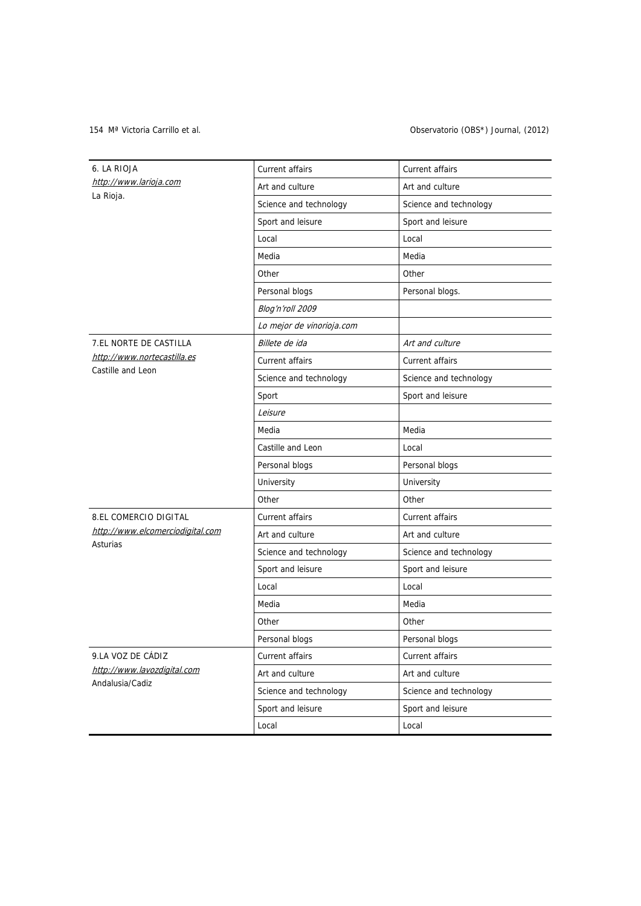## 154 Mª Victoria Carrillo et al. Observatorio (OBS\*) Journal, (2012)

| 6. LA RIOJA                      | Current affairs           | Current affairs        |  |  |
|----------------------------------|---------------------------|------------------------|--|--|
| http://www.larioja.com           | Art and culture           | Art and culture        |  |  |
| La Rioja.                        | Science and technology    | Science and technology |  |  |
|                                  | Sport and leisure         | Sport and leisure      |  |  |
|                                  | Local                     | Local                  |  |  |
|                                  | Media                     | Media                  |  |  |
|                                  | Other                     | Other                  |  |  |
|                                  | Personal blogs            | Personal blogs.        |  |  |
|                                  | Blog'n'roll 2009          |                        |  |  |
|                                  | Lo mejor de vinorioja.com |                        |  |  |
| 7.EL NORTE DE CASTILLA           | Billete de ida            | Art and culture        |  |  |
| http://www.nortecastilla.es      | Current affairs           | Current affairs        |  |  |
| Castille and Leon                | Science and technology    | Science and technology |  |  |
|                                  | Sport                     | Sport and leisure      |  |  |
|                                  | Leisure                   |                        |  |  |
|                                  | Media                     | Media                  |  |  |
|                                  | Castille and Leon         | Local                  |  |  |
|                                  | Personal blogs            | Personal blogs         |  |  |
|                                  | University                | University             |  |  |
|                                  | Other                     | Other                  |  |  |
| <b>8.EL COMERCIO DIGITAL</b>     | Current affairs           | Current affairs        |  |  |
| http://www.elcomerciodigital.com | Art and culture           | Art and culture        |  |  |
| Asturias                         | Science and technology    | Science and technology |  |  |
|                                  | Sport and leisure         | Sport and leisure      |  |  |
|                                  | Local                     | Local                  |  |  |
|                                  | Media                     | Media                  |  |  |
|                                  | Other                     | Other                  |  |  |
|                                  | Personal blogs            | Personal blogs         |  |  |
| 9.LA VOZ DE CÁDIZ                | Current affairs           | Current affairs        |  |  |
| http://www.lavozdigital.com      | Art and culture           | Art and culture        |  |  |
| Andalusia/Cadiz                  | Science and technology    | Science and technology |  |  |
|                                  | Sport and leisure         | Sport and leisure      |  |  |
|                                  | Local                     | Local                  |  |  |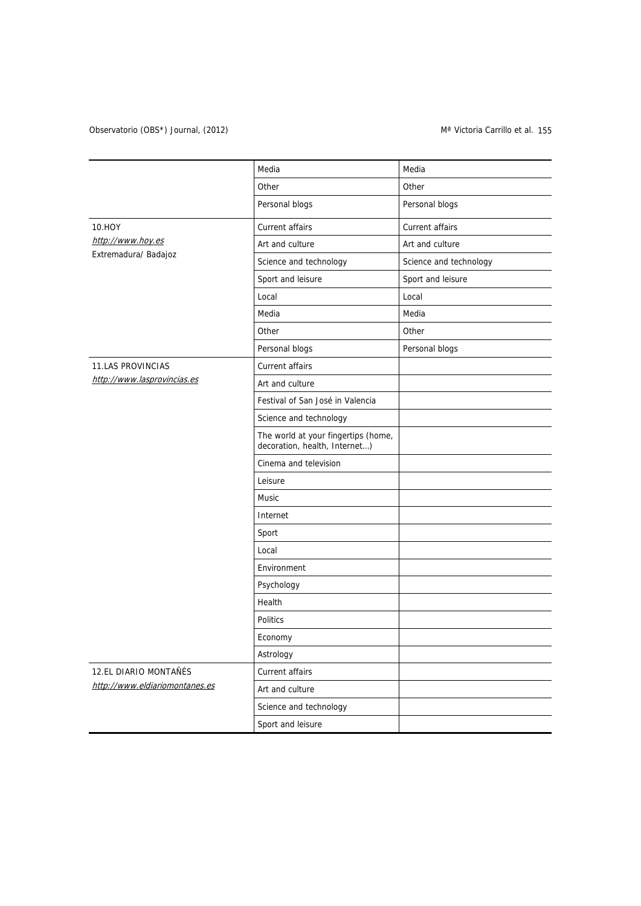# Observatorio (OBS\*) Journal, (2012) Coservatorio (OBS\*) Journal, (2012)

|                                | Media                                                                | Media                  |
|--------------------------------|----------------------------------------------------------------------|------------------------|
|                                | Other                                                                | Other                  |
|                                | Personal blogs                                                       | Personal blogs         |
| 10.HOY                         | Current affairs                                                      | Current affairs        |
| http://www.hoy.es              | Art and culture                                                      | Art and culture        |
| Extremadura/ Badajoz           | Science and technology                                               | Science and technology |
|                                | Sport and leisure                                                    | Sport and leisure      |
|                                | Local                                                                | Local                  |
|                                | Media                                                                | Media                  |
|                                | Other                                                                | Other                  |
|                                | Personal blogs                                                       | Personal blogs         |
| <b>11.LAS PROVINCIAS</b>       | Current affairs                                                      |                        |
| http://www.lasprovincias.es    | Art and culture                                                      |                        |
|                                | Festival of San José in Valencia                                     |                        |
|                                | Science and technology                                               |                        |
|                                | The world at your fingertips (home,<br>decoration, health, Internet) |                        |
|                                | Cinema and television                                                |                        |
|                                | Leisure                                                              |                        |
|                                | Music                                                                |                        |
|                                | Internet                                                             |                        |
|                                | Sport                                                                |                        |
|                                | Local                                                                |                        |
|                                | Environment                                                          |                        |
|                                | Psychology                                                           |                        |
|                                | Health                                                               |                        |
|                                | Politics                                                             |                        |
|                                | Economy                                                              |                        |
|                                | Astrology                                                            |                        |
| 12.EL DIARIO MONTAÑÉS          | Current affairs                                                      |                        |
| http://www.eldiariomontanes.es | Art and culture                                                      |                        |
|                                | Science and technology                                               |                        |
|                                | Sport and leisure                                                    |                        |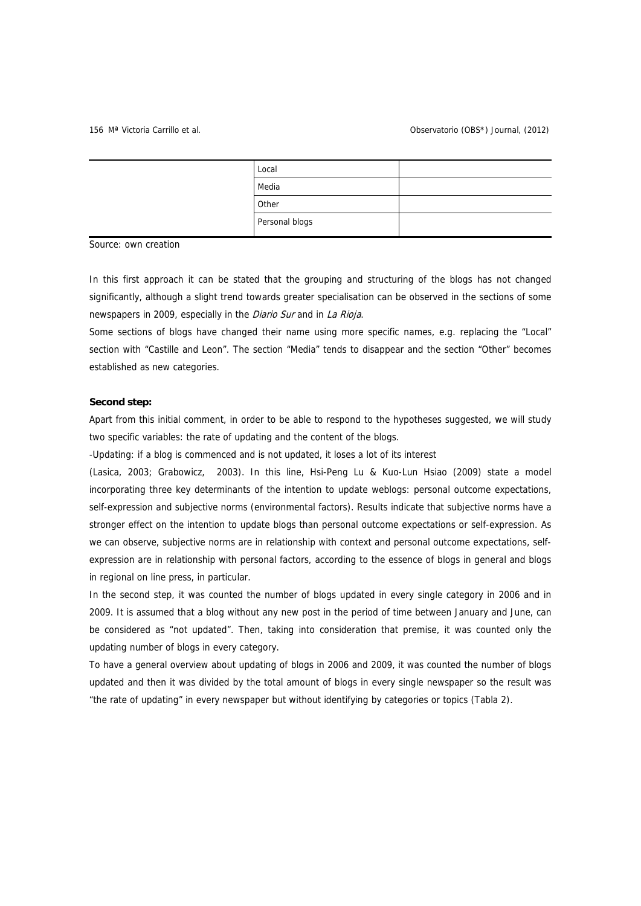| Local          |  |
|----------------|--|
| Media          |  |
| Other          |  |
| Personal blogs |  |

Source: own creation

In this first approach it can be stated that the grouping and structuring of the blogs has not changed significantly, although a slight trend towards greater specialisation can be observed in the sections of some newspapers in 2009, especially in the *Diario Sur* and in La Rioja.

Some sections of blogs have changed their name using more specific names, e.g. replacing the "Local" section with "Castille and Leon". The section "Media" tends to disappear and the section "Other" becomes established as new categories.

### **Second step:**

Apart from this initial comment, in order to be able to respond to the hypotheses suggested, we will study two specific variables: the rate of updating and the content of the blogs.

-Updating: if a blog is commenced and is not updated, it loses a lot of its interest

(Lasica, 2003; Grabowicz, 2003). In this line, Hsi-Peng Lu & Kuo-Lun Hsiao (2009) state a model incorporating three key determinants of the intention to update weblogs: personal outcome expectations, self-expression and subjective norms (environmental factors). Results indicate that subjective norms have a stronger effect on the intention to update blogs than personal outcome expectations or self-expression. As we can observe, subjective norms are in relationship with context and personal outcome expectations, selfexpression are in relationship with personal factors, according to the essence of blogs in general and blogs in regional on line press, in particular.

In the second step, it was counted the number of blogs updated in every single category in 2006 and in 2009. It is assumed that a blog without any new post in the period of time between January and June, can be considered as "not updated". Then, taking into consideration that premise, it was counted only the updating number of blogs in every category.

To have a general overview about updating of blogs in 2006 and 2009, it was counted the number of blogs updated and then it was divided by the total amount of blogs in every single newspaper so the result was "the rate of updating" in every newspaper but without identifying by categories or topics (Tabla 2).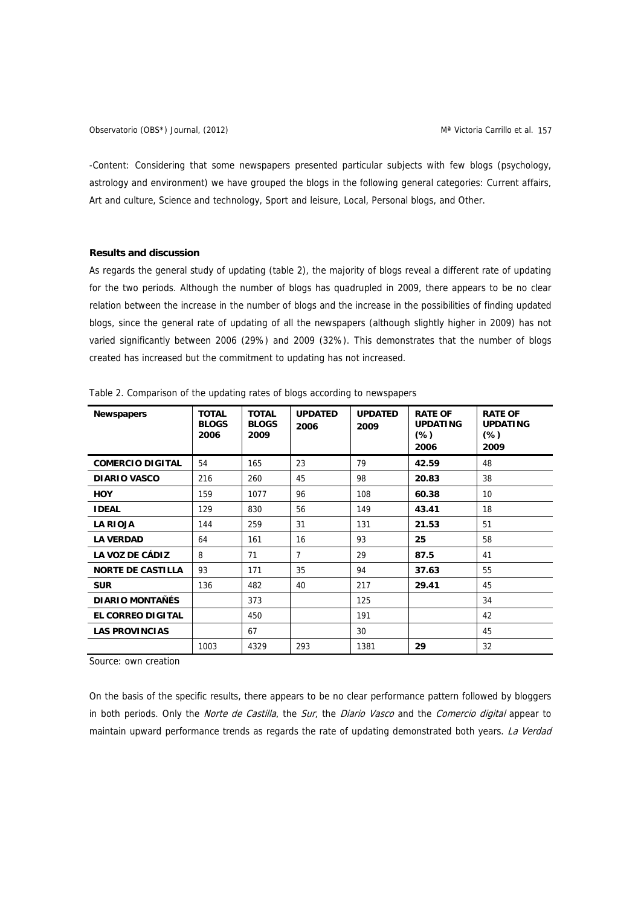-Content: Considering that some newspapers presented particular subjects with few blogs (psychology, astrology and environment) we have grouped the blogs in the following general categories: Current affairs, Art and culture, Science and technology, Sport and leisure, Local, Personal blogs, and Other.

## **Results and discussion**

As regards the general study of updating (table 2), the majority of blogs reveal a different rate of updating for the two periods. Although the number of blogs has quadrupled in 2009, there appears to be no clear relation between the increase in the number of blogs and the increase in the possibilities of finding updated blogs, since the general rate of updating of all the newspapers (although slightly higher in 2009) has not varied significantly between 2006 (29%) and 2009 (32%). This demonstrates that the number of blogs created has increased but the commitment to updating has not increased.

| <b>Newspapers</b>        | <b>TOTAL</b><br><b>BLOGS</b><br>2006 | <b>TOTAL</b><br><b>BLOGS</b><br>2009 | <b>UPDATED</b><br>2006 | <b>UPDATED</b><br>2009 | <b>RATE OF</b><br><b>UPDATING</b><br>$(\%)$<br>2006 | <b>RATE OF</b><br><b>UPDATING</b><br>$(\%)$<br>2009 |  |
|--------------------------|--------------------------------------|--------------------------------------|------------------------|------------------------|-----------------------------------------------------|-----------------------------------------------------|--|
| <b>COMERCIO DIGITAL</b>  | 54                                   | 165                                  | 23                     | 79                     | 42.59                                               | 48                                                  |  |
| <b>DIARIO VASCO</b>      | 216                                  | 260                                  | 45                     | 98                     | 20.83                                               | 38                                                  |  |
| <b>HOY</b>               | 159                                  | 1077                                 | 96                     | 108                    | 60.38                                               | 10                                                  |  |
| <b>IDEAL</b>             | 129                                  | 830                                  | 56                     | 149                    | 18<br>43.41                                         |                                                     |  |
| <b>LA RIOJA</b>          | 144                                  | 259                                  | 31                     | 131                    | 21.53                                               | 51                                                  |  |
| <b>LA VERDAD</b>         | 64                                   | 161                                  | 16                     | 93                     | 25                                                  | 58                                                  |  |
| LA VOZ DE CÁDIZ          | 8                                    | 71                                   | 7                      | 29                     | 87.5                                                | 41                                                  |  |
| <b>NORTE DE CASTILLA</b> | 93                                   | 171                                  | 35                     | 94                     | 37.63                                               | 55                                                  |  |
| <b>SUR</b>               | 136                                  | 482                                  | 40                     | 217                    | 29.41                                               | 45                                                  |  |
| <b>DIARIO MONTAÑÉS</b>   |                                      | 373                                  |                        | 125                    |                                                     | 34                                                  |  |
| <b>EL CORREO DIGITAL</b> |                                      | 450                                  |                        | 191                    |                                                     | 42                                                  |  |
| <b>LAS PROVINCIAS</b>    |                                      | 67                                   |                        | 30                     |                                                     | 45                                                  |  |
|                          | 1003                                 | 4329                                 | 293                    | 1381                   | 29                                                  | 32                                                  |  |

Table 2. Comparison of the updating rates of blogs according to newspapers

Source: own creation

On the basis of the specific results, there appears to be no clear performance pattern followed by bloggers in both periods. Only the *Norte de Castilla*, the Sur, the Diario Vasco and the Comercio digital appear to maintain upward performance trends as regards the rate of updating demonstrated both years. La Verdad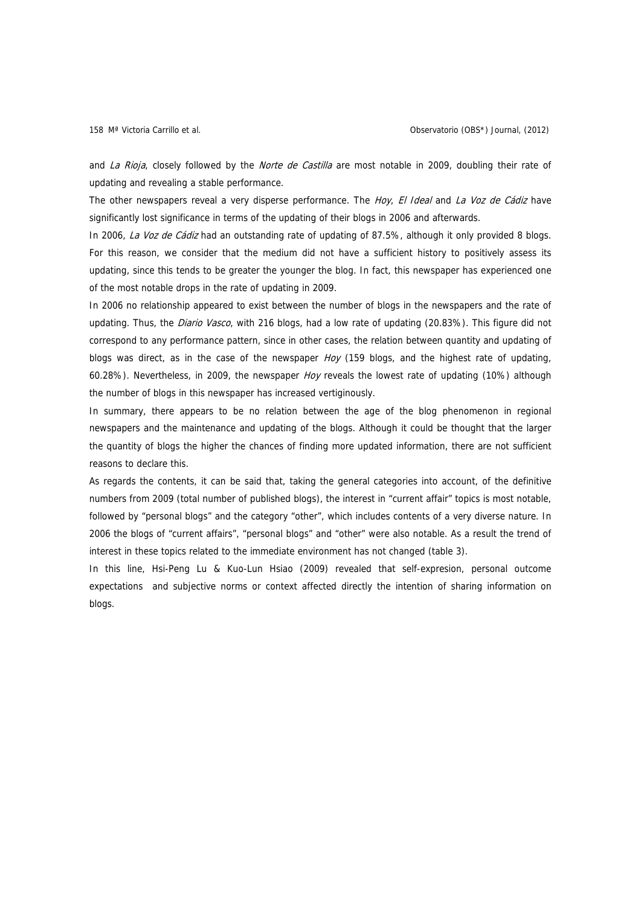and La Rioja, closely followed by the Norte de Castilla are most notable in 2009, doubling their rate of updating and revealing a stable performance.

The other newspapers reveal a very disperse performance. The Hoy, El Ideal and La Voz de Cádiz have significantly lost significance in terms of the updating of their blogs in 2006 and afterwards.

In 2006, La Voz de Cádiz had an outstanding rate of updating of 87.5%, although it only provided 8 blogs. For this reason, we consider that the medium did not have a sufficient history to positively assess its updating, since this tends to be greater the younger the blog. In fact, this newspaper has experienced one of the most notable drops in the rate of updating in 2009.

In 2006 no relationship appeared to exist between the number of blogs in the newspapers and the rate of updating. Thus, the *Diario Vasco*, with 216 blogs, had a low rate of updating (20.83%). This figure did not correspond to any performance pattern, since in other cases, the relation between quantity and updating of blogs was direct, as in the case of the newspaper  $Hoy$  (159 blogs, and the highest rate of updating, 60.28%). Nevertheless, in 2009, the newspaper Hoy reveals the lowest rate of updating (10%) although the number of blogs in this newspaper has increased vertiginously.

In summary, there appears to be no relation between the age of the blog phenomenon in regional newspapers and the maintenance and updating of the blogs. Although it could be thought that the larger the quantity of blogs the higher the chances of finding more updated information, there are not sufficient reasons to declare this.

As regards the contents, it can be said that, taking the general categories into account, of the definitive numbers from 2009 (total number of published blogs), the interest in "current affair" topics is most notable, followed by "personal blogs" and the category "other", which includes contents of a very diverse nature. In 2006 the blogs of "current affairs", "personal blogs" and "other" were also notable. As a result the trend of interest in these topics related to the immediate environment has not changed (table 3).

In this line, Hsi-Peng Lu & Kuo-Lun Hsiao (2009) revealed that self-expresion, personal outcome expectations and subjective norms or context affected directly the intention of sharing information on blogs.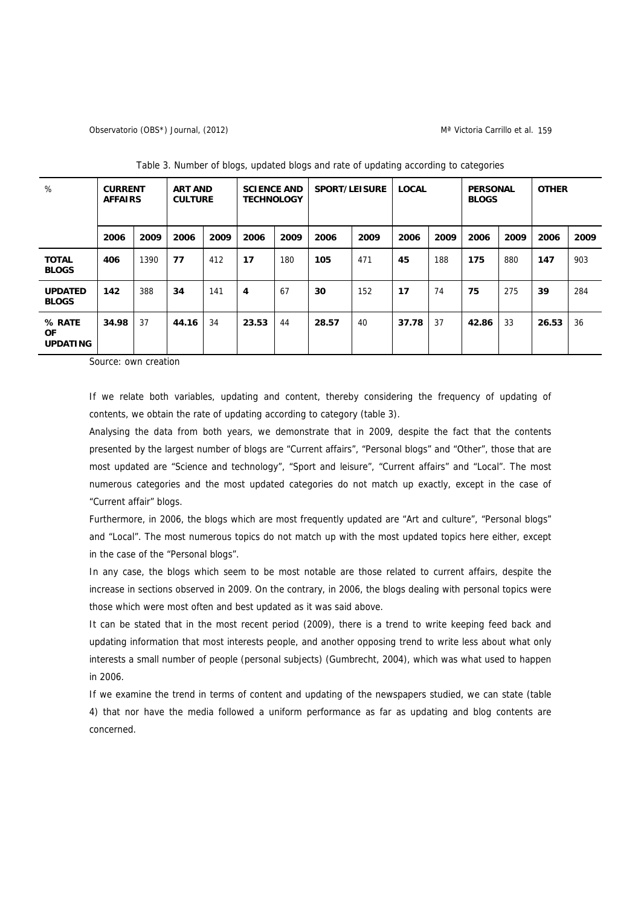### Observatorio (OBS\*) Journal, (2012) Marchi 1999 (Marchi 1999) Marchi 1999 (Marchi 1999) Marchi 1999 (Marchi 199

| %                                      | <b>ART AND</b><br><b>CURRENT</b><br><b>CULTURE</b><br><b>AFFAIRS</b> |      | <b>SPORT/LEISURE</b><br><b>SCIENCE AND</b><br><b>TECHNOLOGY</b> |      |       | <b>LOCAL</b> |       | <b>PERSONAL</b><br><b>BLOGS</b> |       | <b>OTHER</b> |       |      |       |      |
|----------------------------------------|----------------------------------------------------------------------|------|-----------------------------------------------------------------|------|-------|--------------|-------|---------------------------------|-------|--------------|-------|------|-------|------|
|                                        | 2006                                                                 | 2009 | 2006                                                            | 2009 | 2006  | 2009         | 2006  | 2009                            | 2006  | 2009         | 2006  | 2009 | 2006  | 2009 |
| <b>TOTAL</b><br><b>BLOGS</b>           | 406                                                                  | 1390 | 77                                                              | 412  | 17    | 180          | 105   | 471                             | 45    | 188          | 175   | 880  | 147   | 903  |
| <b>UPDATED</b><br><b>BLOGS</b>         | 142                                                                  | 388  | 34                                                              | 141  | 4     | 67           | 30    | 152                             | 17    | 74           | 75    | 275  | 39    | 284  |
| % RATE<br><b>OF</b><br><b>UPDATING</b> | 34.98                                                                | 37   | 44.16                                                           | 34   | 23.53 | 44           | 28.57 | 40                              | 37.78 | 37           | 42.86 | 33   | 26.53 | 36   |

Table 3. Number of blogs, updated blogs and rate of updating according to categories

Source: own creation

If we relate both variables, updating and content, thereby considering the frequency of updating of contents, we obtain the rate of updating according to category (table 3).

Analysing the data from both years, we demonstrate that in 2009, despite the fact that the contents presented by the largest number of blogs are "Current affairs", "Personal blogs" and "Other", those that are most updated are "Science and technology", "Sport and leisure", "Current affairs" and "Local". The most numerous categories and the most updated categories do not match up exactly, except in the case of "Current affair" blogs.

Furthermore, in 2006, the blogs which are most frequently updated are "Art and culture", "Personal blogs" and "Local". The most numerous topics do not match up with the most updated topics here either, except in the case of the "Personal blogs".

In any case, the blogs which seem to be most notable are those related to current affairs, despite the increase in sections observed in 2009. On the contrary, in 2006, the blogs dealing with personal topics were those which were most often and best updated as it was said above.

It can be stated that in the most recent period (2009), there is a trend to write keeping feed back and updating information that most interests people, and another opposing trend to write less about what only interests a small number of people (personal subjects) (Gumbrecht, 2004), which was what used to happen in 2006.

If we examine the trend in terms of content and updating of the newspapers studied, we can state (table 4) that nor have the media followed a uniform performance as far as updating and blog contents are concerned.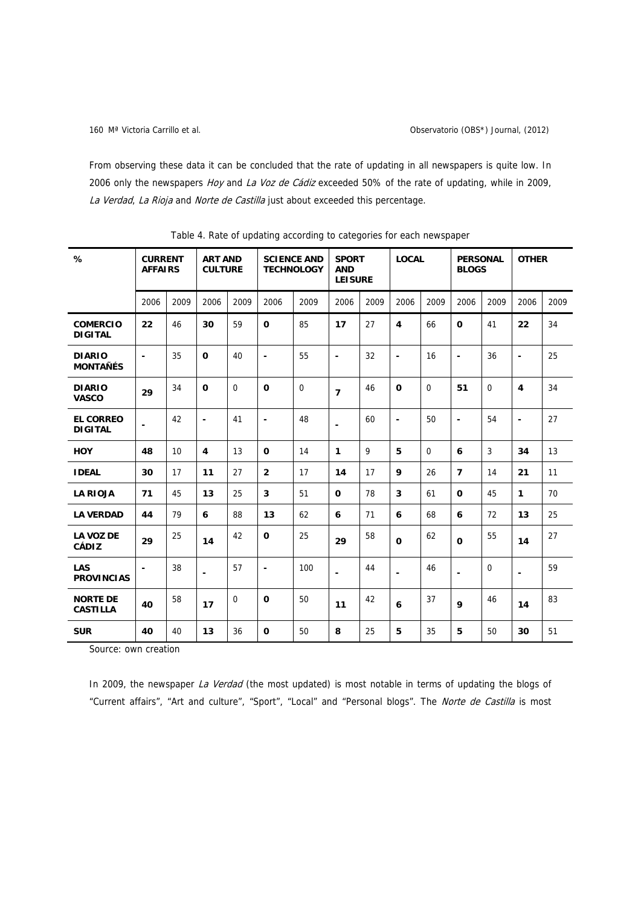From observing these data it can be concluded that the rate of updating in all newspapers is quite low. In 2006 only the newspapers Hoy and La Voz de Cádiz exceeded 50% of the rate of updating, while in 2009, La Verdad, La Rioja and Norte de Castilla just about exceeded this percentage.

| %                                  | <b>CURRENT</b><br><b>AFFAIRS</b> |      | <b>SCIENCE AND</b><br><b>ART AND</b><br><b>CULTURE</b><br><b>TECHNOLOGY</b> |                |                | <b>SPORT</b><br><b>AND</b><br><b>LEISURE</b> |                | <b>LOCAL</b> |                         | <b>PERSONAL</b><br><b>BLOGS</b> |                | <b>OTHER</b> |                         |      |
|------------------------------------|----------------------------------|------|-----------------------------------------------------------------------------|----------------|----------------|----------------------------------------------|----------------|--------------|-------------------------|---------------------------------|----------------|--------------|-------------------------|------|
|                                    | 2006                             | 2009 | 2006                                                                        | 2009           | 2006           | 2009                                         | 2006           | 2009         | 2006                    | 2009                            | 2006           | 2009         | 2006                    | 2009 |
| <b>COMERCIO</b><br><b>DIGITAL</b>  | 22                               | 46   | 30                                                                          | 59             | 0              | 85                                           | 17             | 27           | $\overline{\mathbf{4}}$ | 66                              | 0              | 41           | 22                      | 34   |
| <b>DIARIO</b><br><b>MONTAÑÉS</b>   | ۰                                | 35   | 0                                                                           | 40             | $\blacksquare$ | 55                                           | $\blacksquare$ | 32           | $\blacksquare$          | 16                              | $\blacksquare$ | 36           | $\blacksquare$          | 25   |
| <b>DIARIO</b><br><b>VASCO</b>      | 29                               | 34   | 0                                                                           | $\overline{0}$ | 0              | $\mathbf 0$                                  | $\overline{7}$ | 46           | $\mathbf 0$             | $\mathbf 0$                     | 51             | $\mathbf 0$  | $\overline{\mathbf{4}}$ | 34   |
| <b>EL CORREO</b><br><b>DIGITAL</b> |                                  | 42   | $\blacksquare$                                                              | 41             | $\blacksquare$ | 48                                           |                | 60           | $\blacksquare$          | 50                              | $\blacksquare$ | 54           | $\blacksquare$          | 27   |
| <b>HOY</b>                         | 48                               | 10   | 4                                                                           | 13             | $\mathbf 0$    | 14                                           | $\mathbf{1}$   | 9            | 5                       | $\Omega$                        | 6              | 3            | 34                      | 13   |
| <b>IDEAL</b>                       | 30                               | 17   | 11                                                                          | 27             | $\overline{2}$ | 17                                           | 14             | 17           | 9                       | 26                              | $\overline{7}$ | 14           | 21                      | 11   |
| <b>LA RIOJA</b>                    | 71                               | 45   | 13                                                                          | 25             | 3              | 51                                           | 0              | 78           | 3                       | 61                              | 0              | 45           | $\mathbf{1}$            | 70   |
| <b>LA VERDAD</b>                   | 44                               | 79   | 6                                                                           | 88             | 13             | 62                                           | 6              | 71           | 6                       | 68                              | 6              | 72           | 13                      | 25   |
| <b>LA VOZ DE</b><br><b>CÁDIZ</b>   | 29                               | 25   | 14                                                                          | 42             | $\mathbf 0$    | 25                                           | 29             | 58           | $\mathbf 0$             | 62                              | 0              | 55           | 14                      | 27   |
| <b>LAS</b><br><b>PROVINCIAS</b>    | ۰                                | 38   | $\blacksquare$                                                              | 57             | $\blacksquare$ | 100                                          | $\blacksquare$ | 44           | $\blacksquare$          | 46                              | $\blacksquare$ | $\mathbf 0$  | $\blacksquare$          | 59   |
| <b>NORTE DE</b><br><b>CASTILLA</b> | 40                               | 58   | 17                                                                          | $\Omega$       | 0              | 50                                           | 11             | 42           | 6                       | 37                              | 9              | 46           | 14                      | 83   |
| <b>SUR</b>                         | 40                               | 40   | 13                                                                          | 36             | 0              | 50                                           | 8              | 25           | 5                       | 35                              | 5              | 50           | 30                      | 51   |

Table 4. Rate of updating according to categories for each newspaper

Source: own creation

In 2009, the newspaper La Verdad (the most updated) is most notable in terms of updating the blogs of "Current affairs", "Art and culture", "Sport", "Local" and "Personal blogs". The Norte de Castilla is most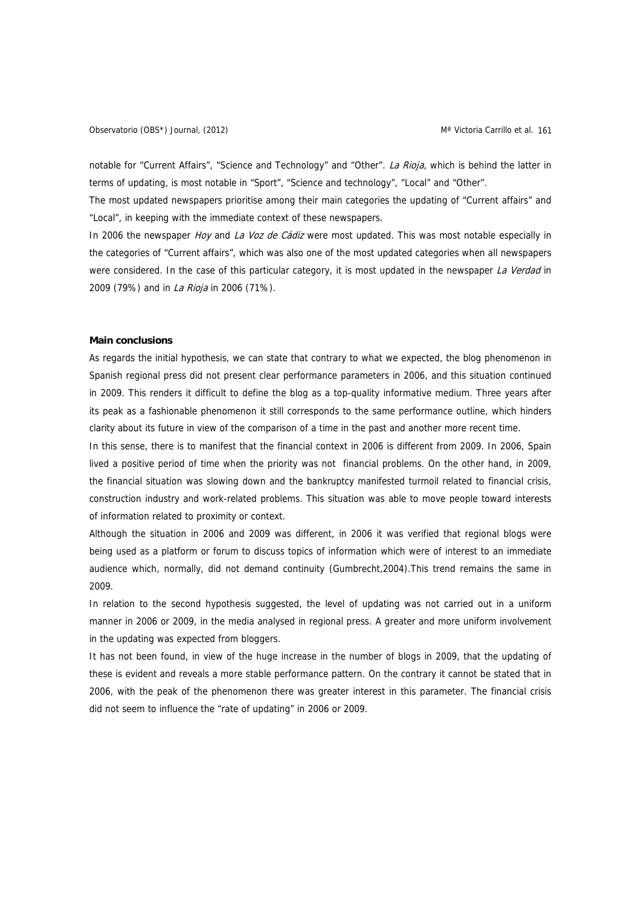notable for "Current Affairs", "Science and Technology" and "Other". La Rioja, which is behind the latter in terms of updating, is most notable in "Sport", "Science and technology", "Local" and "Other".

The most updated newspapers prioritise among their main categories the updating of "Current affairs" and "Local", in keeping with the immediate context of these newspapers.

In 2006 the newspaper Hoy and La Voz de Cádiz were most updated. This was most notable especially in the categories of "Current affairs", which was also one of the most updated categories when all newspapers were considered. In the case of this particular category, it is most updated in the newspaper La Verdad in 2009 (79%) and in *La Rioja* in 2006 (71%).

### **Main conclusions**

As regards the initial hypothesis, we can state that contrary to what we expected, the blog phenomenon in Spanish regional press did not present clear performance parameters in 2006, and this situation continued in 2009. This renders it difficult to define the blog as a top-quality informative medium. Three years after its peak as a fashionable phenomenon it still corresponds to the same performance outline, which hinders clarity about its future in view of the comparison of a time in the past and another more recent time.

In this sense, there is to manifest that the financial context in 2006 is different from 2009. In 2006, Spain lived a positive period of time when the priority was not financial problems. On the other hand, in 2009, the financial situation was slowing down and the bankruptcy manifested turmoil related to financial crisis, construction industry and work-related problems. This situation was able to move people toward interests of information related to proximity or context.

Although the situation in 2006 and 2009 was different, in 2006 it was verified that regional blogs were being used as a platform or forum to discuss topics of information which were of interest to an immediate audience which, normally, did not demand continuity (Gumbrecht,2004).This trend remains the same in 2009.

In relation to the second hypothesis suggested, the level of updating was not carried out in a uniform manner in 2006 or 2009, in the media analysed in regional press. A greater and more uniform involvement in the updating was expected from bloggers.

It has not been found, in view of the huge increase in the number of blogs in 2009, that the updating of these is evident and reveals a more stable performance pattern. On the contrary it cannot be stated that in 2006, with the peak of the phenomenon there was greater interest in this parameter. The financial crisis did not seem to influence the "rate of updating" in 2006 or 2009.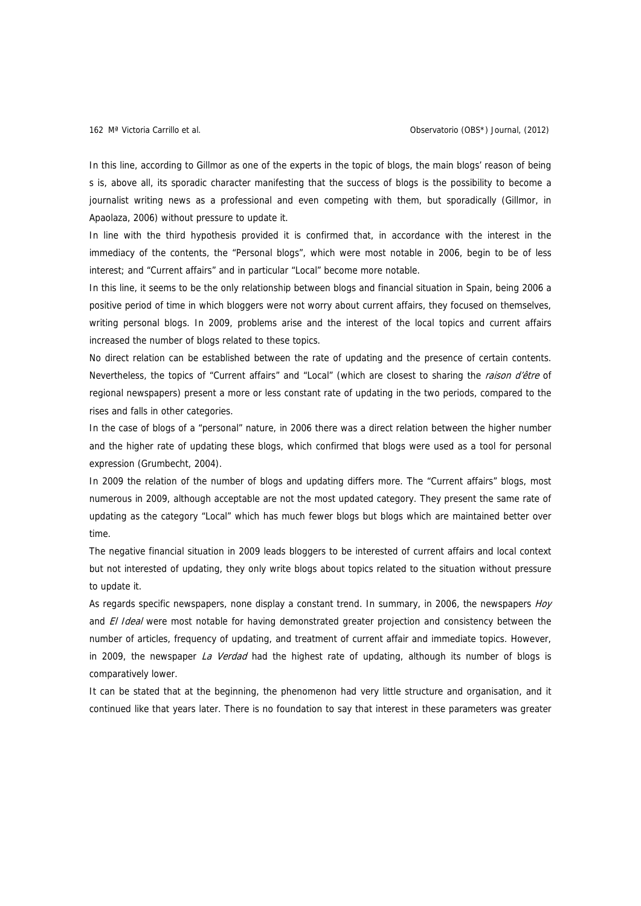In this line, according to Gillmor as one of the experts in the topic of blogs, the main blogs' reason of being s is, above all, its sporadic character manifesting that the success of blogs is the possibility to become a journalist writing news as a professional and even competing with them, but sporadically (Gillmor, in Apaolaza, 2006) without pressure to update it.

In line with the third hypothesis provided it is confirmed that, in accordance with the interest in the immediacy of the contents, the "Personal blogs", which were most notable in 2006, begin to be of less interest; and "Current affairs" and in particular "Local" become more notable.

In this line, it seems to be the only relationship between blogs and financial situation in Spain, being 2006 a positive period of time in which bloggers were not worry about current affairs, they focused on themselves, writing personal blogs. In 2009, problems arise and the interest of the local topics and current affairs increased the number of blogs related to these topics.

No direct relation can be established between the rate of updating and the presence of certain contents. Nevertheless, the topics of "Current affairs" and "Local" (which are closest to sharing the raison d'être of regional newspapers) present a more or less constant rate of updating in the two periods, compared to the rises and falls in other categories.

In the case of blogs of a "personal" nature, in 2006 there was a direct relation between the higher number and the higher rate of updating these blogs, which confirmed that blogs were used as a tool for personal expression (Grumbecht, 2004).

In 2009 the relation of the number of blogs and updating differs more. The "Current affairs" blogs, most numerous in 2009, although acceptable are not the most updated category. They present the same rate of updating as the category "Local" which has much fewer blogs but blogs which are maintained better over time.

The negative financial situation in 2009 leads bloggers to be interested of current affairs and local context but not interested of updating, they only write blogs about topics related to the situation without pressure to update it.

As regards specific newspapers, none display a constant trend. In summary, in 2006, the newspapers *Hoy* and *El Ideal* were most notable for having demonstrated greater projection and consistency between the number of articles, frequency of updating, and treatment of current affair and immediate topics. However, in 2009, the newspaper La Verdad had the highest rate of updating, although its number of blogs is comparatively lower.

It can be stated that at the beginning, the phenomenon had very little structure and organisation, and it continued like that years later. There is no foundation to say that interest in these parameters was greater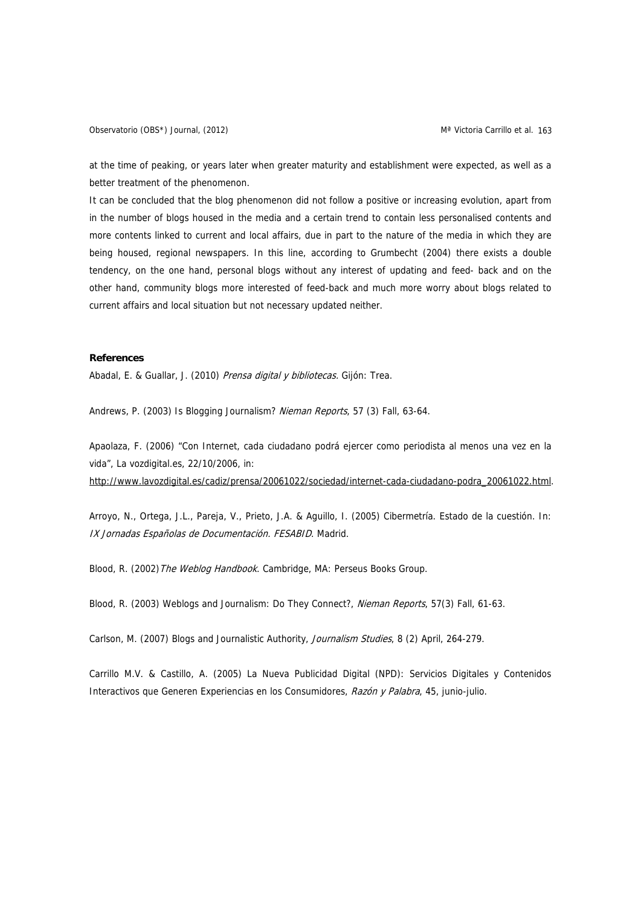Observatorio (OBS\*) Journal, (2012) Martin Carrillo et al. 163

at the time of peaking, or years later when greater maturity and establishment were expected, as well as a better treatment of the phenomenon.

It can be concluded that the blog phenomenon did not follow a positive or increasing evolution, apart from in the number of blogs housed in the media and a certain trend to contain less personalised contents and more contents linked to current and local affairs, due in part to the nature of the media in which they are being housed, regional newspapers. In this line, according to Grumbecht (2004) there exists a double tendency, on the one hand, personal blogs without any interest of updating and feed- back and on the other hand, community blogs more interested of feed-back and much more worry about blogs related to current affairs and local situation but not necessary updated neither.

## **References**

Abadal, E. & Guallar, J. (2010) Prensa digital y bibliotecas. Gijón: Trea.

Andrews, P. (2003) Is Blogging Journalism? Nieman Reports, 57 (3) Fall, 63-64.

Apaolaza, F. (2006) "Con Internet, cada ciudadano podrá ejercer como periodista al menos una vez en la vida", La vozdigital.es, 22/10/2006, in:

[http://www.lavozdigital.es/cadiz/prensa/20061022/sociedad/internet-cada-ciudadano-podra\\_20061022.html](http://www.lavozdigital.es/cadiz/prensa/20061022/sociedad/internet-cada-ciudadano-podra_20061022.html).

Arroyo, N., Ortega, J.L., Pareja, V., Prieto, J.A. & Aguillo, I. (2005) Cibermetría. Estado de la cuestión. In: IX Jornadas Españolas de Documentación. FESABID. Madrid.

Blood, R. (2002) The Weblog Handbook. Cambridge, MA: Perseus Books Group.

Blood, R. (2003) Weblogs and Journalism: Do They Connect?, Nieman Reports, 57(3) Fall, 61-63.

Carlson, M. (2007) Blogs and Journalistic Authority, Journalism Studies, 8 (2) April, 264-279.

Carrillo M.V. & Castillo, A. (2005) La Nueva Publicidad Digital (NPD): Servicios Digitales y Contenidos Interactivos que Generen Experiencias en los Consumidores, Razón y Palabra, 45, junio-julio.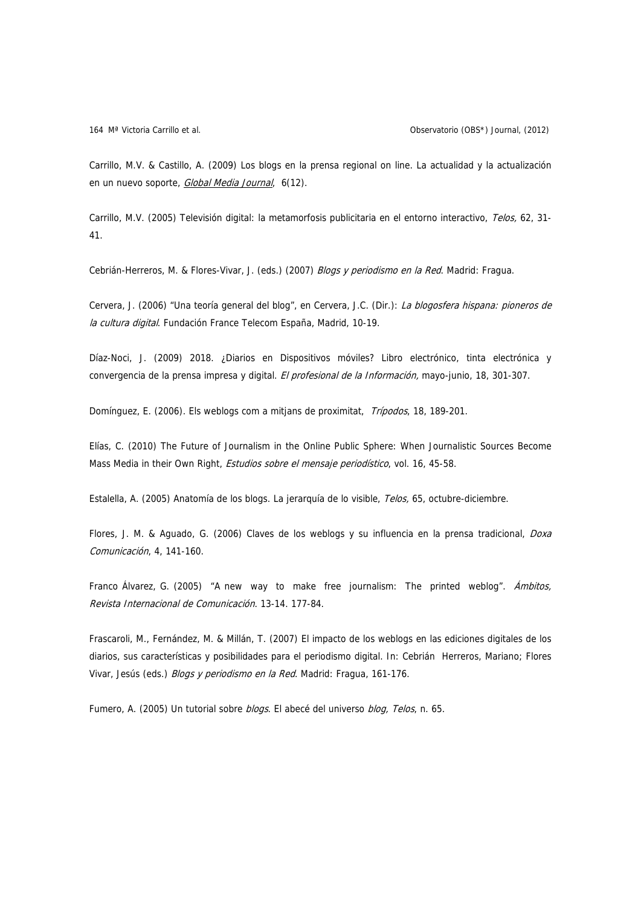Carrillo, M.V. & Castillo, A. (2009) Los blogs en la prensa regional on line. La actualidad y la actualización en un nuevo soporte, [Global Media Journal](http://dialnet.unirioja.es/servlet/revista?codigo=7108), 6(12).

Carrillo, M.V. (2005) Televisión digital: la metamorfosis publicitaria en el entorno interactivo, Telos, 62, 31- 41.

Cebrián-Herreros, M. & Flores-Vivar, J. (eds.) (2007) Blogs y periodismo en la Red. Madrid: Fragua.

Cervera, J. (2006) "Una teoría general del blog", en Cervera, J.C. (Dir.): La blogosfera hispana: pioneros de la cultura digital. Fundación France Telecom España, Madrid, 10-19.

Díaz-Noci, J. (2009) 2018. ¿Diarios en Dispositivos móviles? Libro electrónico, tinta electrónica y convergencia de la prensa impresa y digital. El profesional de la Información, mayo-junio, 18, 301-307.

Domínguez, E. (2006). Els weblogs com a mitjans de proximitat, Trípodos, 18, 189-201.

Elías, C. (2010) The Future of Journalism in the Online Public Sphere: When Journalistic Sources Become Mass Media in their Own Right, Estudios sobre el mensaje periodístico, vol. 16, 45-58.

Estalella, A. (2005) Anatomía de los blogs. La jerarquía de lo visible, Telos, 65, octubre-diciembre.

Flores, J. M. & Aguado, G. (2006) Claves de los weblogs y su influencia en la prensa tradicional, Doxa Comunicación, 4, 141-160.

Franco Álvarez, G. (2005) "A new way to make free journalism: The printed weblog". Ambitos, Revista Internacional de Comunicación. 13-14. 177-84.

Frascaroli, M., Fernández, M. & Millán, T. (2007) El impacto de los weblogs en las ediciones digitales de los diarios, sus características y posibilidades para el periodismo digital. In: Cebrián Herreros, Mariano; Flores Vivar, Jesús (eds.) Blogs y periodismo en la Red. Madrid: Fragua, 161-176.

Fumero, A. (2005) Un tutorial sobre blogs. El abecé del universo blog, Telos, n. 65.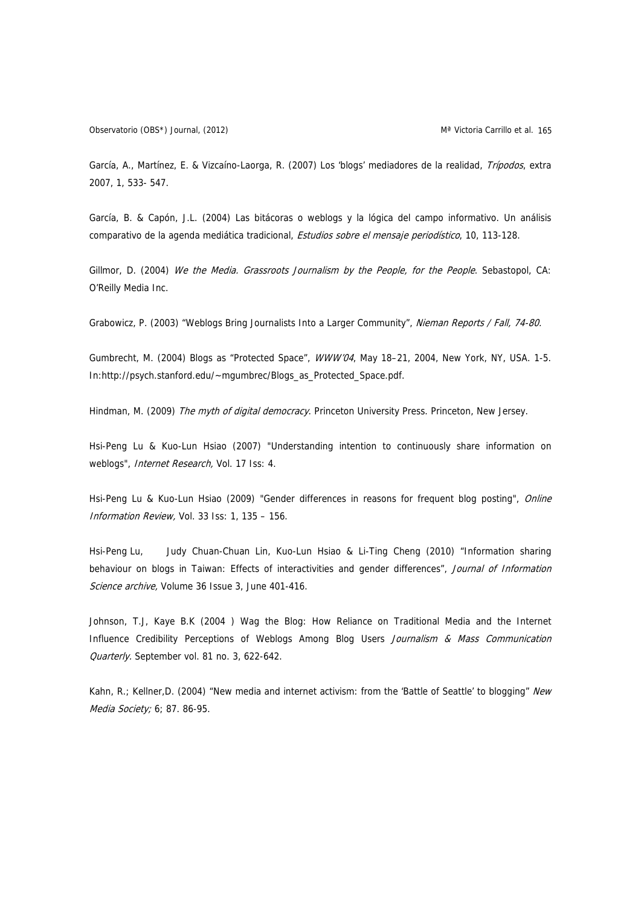Observatorio (OBS\*) Journal, (2012) Martin Carrillo et al. 165

García, A., Martínez, E. & Vizcaíno-Laorga, R. (2007) Los 'blogs' mediadores de la realidad, Trípodos, extra 2007, 1, 533- 547.

García, B. & Capón, J.L. (2004) Las bitácoras o weblogs y la lógica del campo informativo. Un análisis comparativo de la agenda mediática tradicional, *Estudios sobre el mensaje periodístico*, 10, 113-128.

Gillmor, D. (2004) We the Media. Grassroots Journalism by the People, for the People. Sebastopol, CA: O'Reilly Media Inc.

Grabowicz, P. (2003) "Weblogs Bring Journalists Into a Larger Community", Nieman Reports / Fall, 74-80.

Gumbrecht, M. (2004) Blogs as "Protected Space", WWW'04, May 18-21, 2004, New York, NY, USA. 1-5. In:http://psych.stanford.edu/~mgumbrec/Blogs\_as\_Protected\_Space.pdf.

Hindman, M. (2009) The myth of digital democracy. Princeton University Press. Princeton, New Jersey.

Hsi-Peng Lu & Kuo-Lun Hsiao (2007) "Understanding intention to continuously share information on weblogs", Internet Research, Vol. 17 Iss: 4.

Hsi-Peng Lu & Kuo-Lun Hsiao (2009) "Gender differences in reasons for frequent blog posting", Online Information Review, Vol. 33 Iss: 1, 135 – 156.

Hsi-Peng Lu, Judy Chuan-Chuan Lin, Kuo-Lun Hsiao & Li-Ting Cheng (2010) "Information sharing behaviour on blogs in Taiwan: Effects of interactivities and gender differences", Journal of Information Science archive, Volume 36 Issue 3, June 401-416.

Johnson, T.J, Kaye B.K (2004 ) Wag the Blog: How Reliance on Traditional Media and the Internet Influence Credibility Perceptions of Weblogs Among Blog Users Journalism & Mass Communication Quarterly. September vol. 81 no. 3, 622-642.

Kahn, R.; Kellner, D. (2004) "New media and internet activism: from the 'Battle of Seattle' to blogging" New Media Society; 6; 87. 86-95.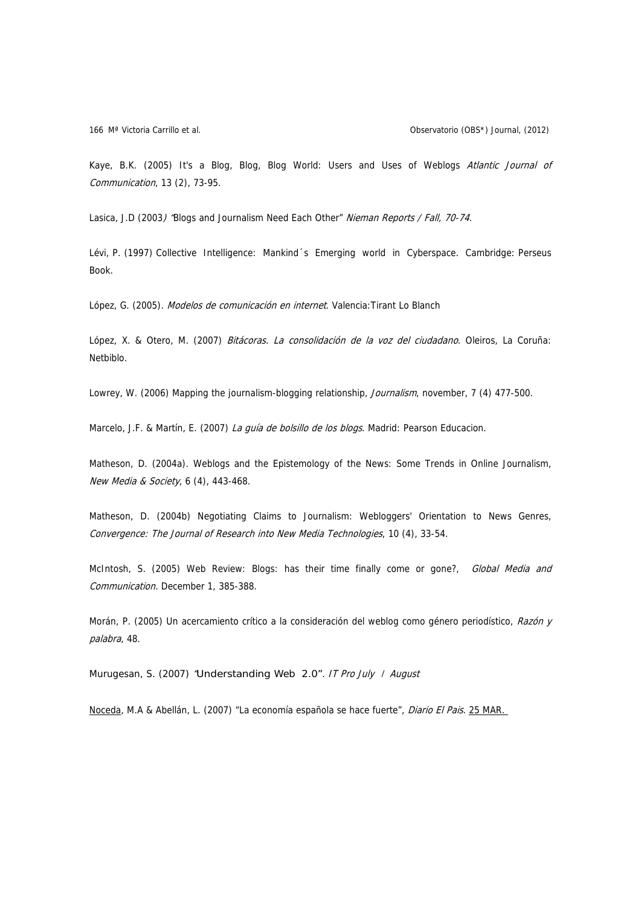Kaye, B.K. (2005) It's a Blog, Blog, Blog World: Users and Uses of Weblogs Atlantic Journal of Communication, 13 (2), 73-95.

Lasica, J.D (2003) 'Blogs and Journalism Need Each Other" Nieman Reports / Fall, 70-74.

Lévi, P. (1997) Collective Intelligence: Mankind´s Emerging world in Cyberspace. Cambridge: Perseus Book.

López, G. (2005). Modelos de comunicación en internet. Valencia: Tirant Lo Blanch

López, X. & Otero, M. (2007) Bitácoras. La consolidación de la voz del ciudadano. Oleiros, La Coruña: Netbiblo.

Lowrey, W. (2006) Mapping the journalism-blogging relationship, Journalism, november, 7 (4) 477-500.

Marcelo, J.F. & Martín, E. (2007) La quía de bolsillo de los blogs. Madrid: Pearson Educacion.

Matheson, D. (2004a). Weblogs and the Epistemology of the News: Some Trends in Online Journalism, New Media & Society, 6 (4), 443-468.

Matheson, D. (2004b) Negotiating Claims to Journalism: Webloggers' Orientation to News Genres, Convergence: The Journal of Research into New Media Technologies, 10 (4), 33-54.

McIntosh, S. (2005) Web Review: Blogs: has their time finally come or gone?, Global Media and Communication. December 1, 385-388.

Morán, P. (2005) Un acercamiento crítico a la consideración del weblog como género periodístico, Razón y palabra, 48.

Murugesan, S. (2007) "Understanding Web 2.0". IT Pro July / August

[Noceda](http://elpais.com/autor/miguel_angel_noceda/a/), M.A & Abellán, L. (2007) "La economía española se hace fuerte", Diario El Pais. [25 MAR.](http://elpais.com/tag/fecha/20070325)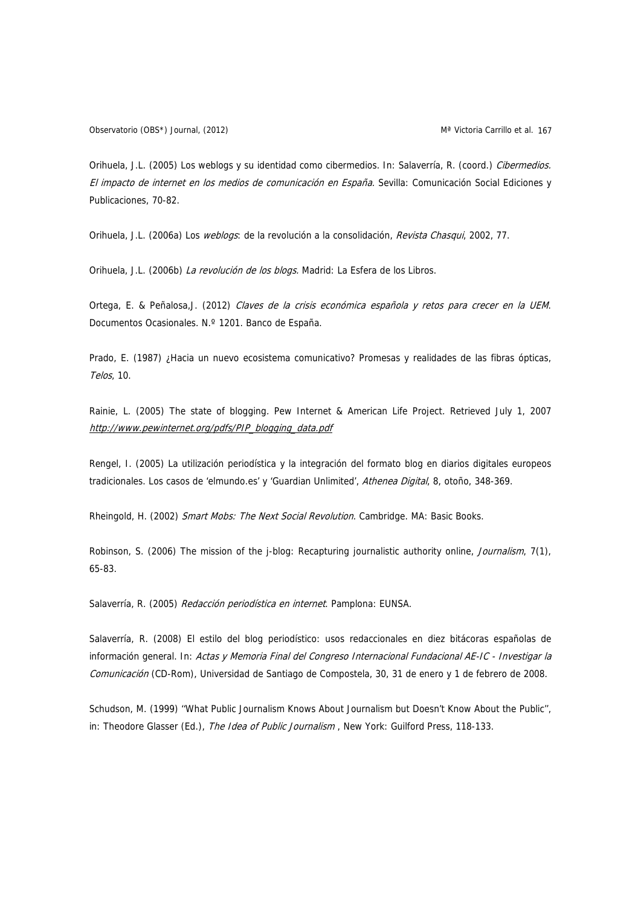Orihuela, J.L. (2005) Los weblogs y su identidad como cibermedios. In: Salaverría, R. (coord.) Cibermedios. El impacto de internet en los medios de comunicación en España. Sevilla: Comunicación Social Ediciones y Publicaciones, 70-82.

Orihuela, J.L. (2006a) Los *weblogs*: de la revolución a la consolidación, *Revista Chasqui*, 2002, 77.

Orihuela, J.L. (2006b) La revolución de los blogs. Madrid: La Esfera de los Libros.

Ortega, E. & Peñalosa, J. (2012) Claves de la crisis económica española y retos para crecer en la UEM. Documentos Ocasionales. N.º 1201. Banco de España.

Prado, E. (1987) ¿Hacia un nuevo ecosistema comunicativo? Promesas y realidades de las fibras ópticas, Telos, 10.

Rainie, L. (2005) The state of blogging. Pew Internet & American Life Project. Retrieved July 1, 2007 http://www.pewinternet.org/pdfs/PIP\_blogging\_data.pdf

Rengel, I. (2005) La utilización periodística y la integración del formato blog en diarios digitales europeos tradicionales. Los casos de 'elmundo.es' y 'Guardian Unlimited', Athenea Digital, 8, otoño, 348-369.

Rheingold, H. (2002) Smart Mobs: The Next Social Revolution. Cambridge. MA: Basic Books.

Robinson, S. (2006) The mission of the j-blog: Recapturing journalistic authority online, Journalism, 7(1), 65-83.

Salaverría, R. (2005) Redacción periodística en internet. Pamplona: EUNSA.

Salaverría, R. (2008) El estilo del blog periodístico: usos redaccionales en diez bitácoras españolas de información general. In: Actas y Memoria Final del Congreso Internacional Fundacional AE-IC - Investigar la Comunicación (CD-Rom), Universidad de Santiago de Compostela, 30, 31 de enero y 1 de febrero de 2008.

Schudson, M. (1999) ''What Public Journalism Knows About Journalism but Doesn't Know About the Public'', in: Theodore Glasser (Ed.), The Idea of Public Journalism, New York: Guilford Press, 118-133.